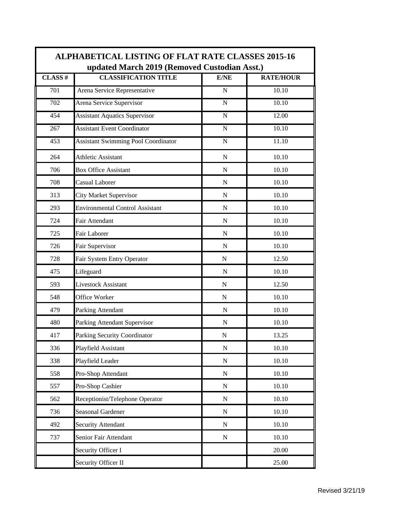| <b>ALPHABETICAL LISTING OF FLAT RATE CLASSES 2015-16</b><br>updated March 2019 (Removed Custodian Asst.) |                                            |                |                  |  |
|----------------------------------------------------------------------------------------------------------|--------------------------------------------|----------------|------------------|--|
| CLASS#                                                                                                   | <b>CLASSIFICATION TITLE</b>                | E/NE           | <b>RATE/HOUR</b> |  |
| 701                                                                                                      | Arena Service Representative               | $\overline{N}$ | 10.10            |  |
| 702                                                                                                      | Arena Service Supervisor                   | ${\bf N}$      | 10.10            |  |
| 454                                                                                                      | <b>Assistant Aquatics Supervisor</b>       | $\mathbf N$    | 12.00            |  |
| 267                                                                                                      | <b>Assistant Event Coordinator</b>         | ${\bf N}$      | 10.10            |  |
| 453                                                                                                      | <b>Assistant Swimming Pool Coordinator</b> | ${\bf N}$      | 11.10            |  |
| 264                                                                                                      | Athletic Assistant                         | ${\bf N}$      | 10.10            |  |
| 706                                                                                                      | <b>Box Office Assistant</b>                | $\mathbf N$    | 10.10            |  |
| 708                                                                                                      | Casual Laborer                             | $\mathbf N$    | 10.10            |  |
| 313                                                                                                      | City Market Supervisor                     | $\mathbf N$    | 10.10            |  |
| 293                                                                                                      | <b>Environmental Control Assistant</b>     | $\mathbf N$    | 10.10            |  |
| 724                                                                                                      | <b>Fair Attendant</b>                      | ${\bf N}$      | 10.10            |  |
| 725                                                                                                      | Fair Laborer                               | N              | 10.10            |  |
| 726                                                                                                      | Fair Supervisor                            | $\mathbf N$    | 10.10            |  |
| 728                                                                                                      | Fair System Entry Operator                 | ${\bf N}$      | 12.50            |  |
| 475                                                                                                      | Lifeguard                                  | N              | 10.10            |  |
| 593                                                                                                      | Livestock Assistant                        | ${\bf N}$      | 12.50            |  |
| 548                                                                                                      | Office Worker                              | ${\bf N}$      | 10.10            |  |
| 479                                                                                                      | Parking Attendant                          | $\mathbf N$    | 10.10            |  |
| 480                                                                                                      | Parking Attendant Supervisor               | ${\bf N}$      | 10.10            |  |
| 417                                                                                                      | Parking Security Coordinator               | ${\bf N}$      | 13.25            |  |
| 336                                                                                                      | Playfield Assistant                        | ${\bf N}$      | 10.10            |  |
| 338                                                                                                      | Playfield Leader                           | ${\bf N}$      | 10.10            |  |
| 558                                                                                                      | Pro-Shop Attendant                         | ${\bf N}$      | 10.10            |  |
| 557                                                                                                      | Pro-Shop Cashier                           | ${\bf N}$      | 10.10            |  |
| 562                                                                                                      | Receptionist/Telephone Operator            | ${\bf N}$      | 10.10            |  |
| 736                                                                                                      | Seasonal Gardener                          | ${\bf N}$      | 10.10            |  |
| 492                                                                                                      | Security Attendant                         | ${\bf N}$      | 10.10            |  |
| 737                                                                                                      | Senior Fair Attendant                      | ${\bf N}$      | 10.10            |  |
|                                                                                                          | Security Officer I                         |                | 20.00            |  |
|                                                                                                          | Security Officer II                        |                | 25.00            |  |